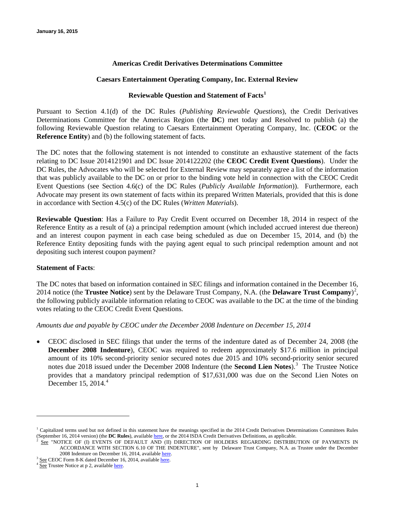# **Americas Credit Derivatives Determinations Committee**

## **Caesars Entertainment Operating Company, Inc. External Review**

# **Reviewable Question and Statement of Facts[1](#page-0-0)**

Pursuant to Section 4.1(d) of the DC Rules (*Publishing Reviewable Questions*), the Credit Derivatives Determinations Committee for the Americas Region (the **DC**) met today and Resolved to publish (a) the following Reviewable Question relating to Caesars Entertainment Operating Company, Inc. (**CEOC** or the **Reference Entity**) and (b) the following statement of facts.

The DC notes that the following statement is not intended to constitute an exhaustive statement of the facts relating to DC Issue 2014121901 and DC Issue 2014122202 (the **CEOC Credit Event Questions**). Under the DC Rules, the Advocates who will be selected for External Review may separately agree a list of the information that was publicly available to the DC on or prior to the binding vote held in connection with the CEOC Credit Event Questions (see Section 4.6(c) of the DC Rules (*Publicly Available Information*)). Furthermore, each Advocate may present its own statement of facts within its prepared Written Materials, provided that this is done in accordance with Section 4.5(c) of the DC Rules (*Written Materials*).

**Reviewable Question**: Has a Failure to Pay Credit Event occurred on December 18, 2014 in respect of the Reference Entity as a result of (a) a principal redemption amount (which included accrued interest due thereon) and an interest coupon payment in each case being scheduled as due on December 15, 2014, and (b) the Reference Entity depositing funds with the paying agent equal to such principal redemption amount and not depositing such interest coupon payment?

### **Statement of Facts**:

The DC notes that based on information contained in SEC filings and information contained in the December 16, 2014 notice (the **Trustee Notice**) sent by the Delaware Trust Company, N.A. (the **Delaware Trust Company**) [2](#page-0-1) , the following publicly available information relating to CEOC was available to the DC at the time of the binding votes relating to the CEOC Credit Event Questions.

### *Amounts due and payable by CEOC under the December 2008 Indenture on December 15, 2014*

• CEOC disclosed in SEC filings that under the terms of the indenture dated as of December 24, 2008 (the **December 2008 Indenture**), CEOC was required to redeem approximately \$17.6 million in principal amount of its 10% second-priority senior secured notes due 2015 and 10% second-priority senior secured notes due 2018 issued under the December 2008 Indenture (the **Second Lien Notes**).<sup>[3](#page-0-2)</sup> The Trustee Notice provides that a mandatory principal redemption of \$17,631,000 was due on the Second Lien Notes on December 15, 201[4](#page-0-3). $4$ 

 $\overline{a}$ 

<span id="page-0-1"></span><span id="page-0-0"></span> $1$  Capitalized terms used but not defined in this statement have the meanings specified in the 2014 Credit Derivatives Determinations Committees Rules (September 16, 2014 version) (the **DC Rules**), available [here,](http://dc.isda.org/dc-rules/) or the 2014 ISDA Credit Derivatives Definitions, as applicable.

See "NOTICE OF (I) EVENTS OF DEFAULT AND (II) DIRECTION OF HOLDERS REGARDING DISTRIBUTION OF PAYMENTS IN ACCORDANCE WITH SECTION 6.10 OF THE INDENTURE", sent by Delaware Trust Company, N.A. as Trustee under the December 2008 Indenture on December 16, 2014, available here.

<span id="page-0-2"></span><sup>&</sup>lt;sup>3</sup> <u>See</u> CEOC Form 8-K dated December 16, 2014, available <u>here</u>. <sup>4</sup> See Trustee Notice at p 2, available [here.](http://www.sec.gov/Archives/edgar/data/858395/000119312514444240/d838888d8k.htm)

<span id="page-0-3"></span>